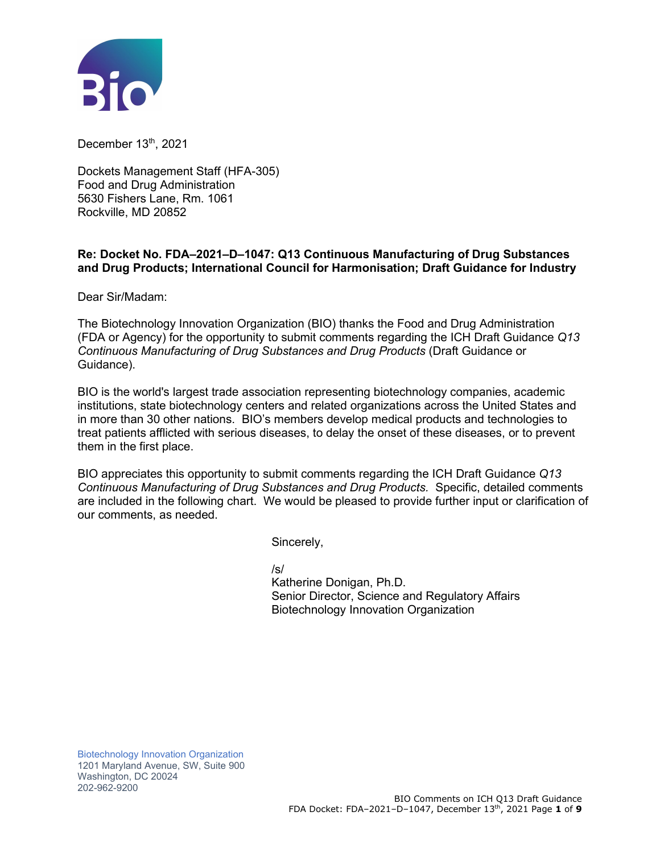

December 13<sup>th</sup>, 2021

Dockets Management Staff (HFA-305) Food and Drug Administration 5630 Fishers Lane, Rm. 1061 Rockville, MD 20852

## **Re: Docket No. FDA–2021–D–1047: Q13 Continuous Manufacturing of Drug Substances and Drug Products; International Council for Harmonisation; Draft Guidance for Industry**

Dear Sir/Madam:

The Biotechnology Innovation Organization (BIO) thanks the Food and Drug Administration (FDA or Agency) for the opportunity to submit comments regarding the ICH Draft Guidance *Q13 Continuous Manufacturing of Drug Substances and Drug Products* (Draft Guidance or Guidance).

BIO is the world's largest trade association representing biotechnology companies, academic institutions, state biotechnology centers and related organizations across the United States and in more than 30 other nations. BIO's members develop medical products and technologies to treat patients afflicted with serious diseases, to delay the onset of these diseases, or to prevent them in the first place.

BIO appreciates this opportunity to submit comments regarding the ICH Draft Guidance *Q13 Continuous Manufacturing of Drug Substances and Drug Products.* Specific, detailed comments are included in the following chart. We would be pleased to provide further input or clarification of our comments, as needed.

Sincerely,

/s/

Katherine Donigan, Ph.D. Senior Director, Science and Regulatory Affairs Biotechnology Innovation Organization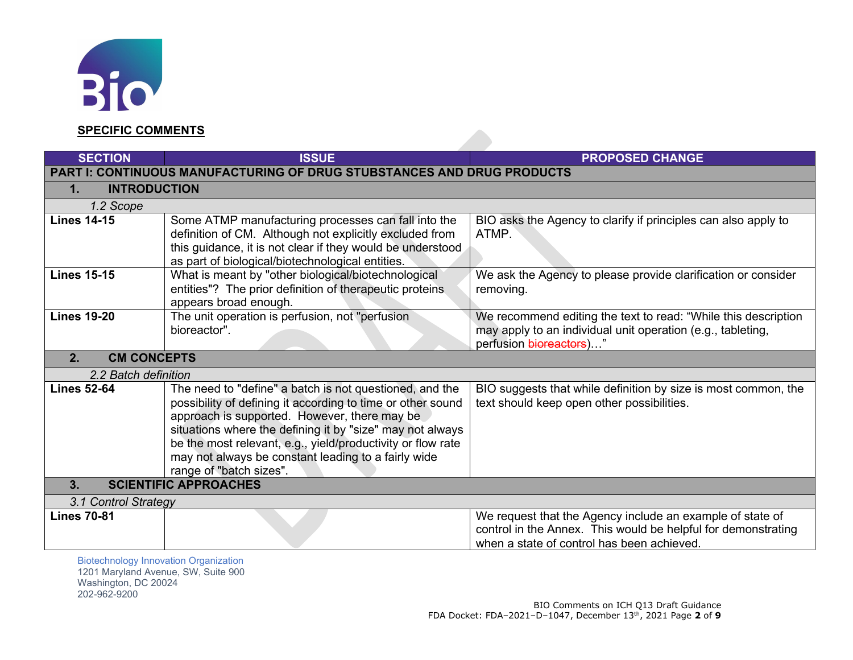

202-962-9200

## **SPECIFIC COMMENTS**

| <b>SECTION</b>                                                                                              | <b>ISSUE</b>                                                                                                                                                                                                                                                                                                                                                                         | <b>PROPOSED CHANGE</b>                                                                                                                                                   |  |
|-------------------------------------------------------------------------------------------------------------|--------------------------------------------------------------------------------------------------------------------------------------------------------------------------------------------------------------------------------------------------------------------------------------------------------------------------------------------------------------------------------------|--------------------------------------------------------------------------------------------------------------------------------------------------------------------------|--|
| <b>PART I: CONTINUOUS MANUFACTURING OF DRUG STUBSTANCES AND DRUG PRODUCTS</b>                               |                                                                                                                                                                                                                                                                                                                                                                                      |                                                                                                                                                                          |  |
| <b>INTRODUCTION</b><br>1.                                                                                   |                                                                                                                                                                                                                                                                                                                                                                                      |                                                                                                                                                                          |  |
| 1.2 Scope                                                                                                   |                                                                                                                                                                                                                                                                                                                                                                                      |                                                                                                                                                                          |  |
| <b>Lines 14-15</b>                                                                                          | Some ATMP manufacturing processes can fall into the<br>definition of CM. Although not explicitly excluded from<br>this guidance, it is not clear if they would be understood                                                                                                                                                                                                         | BIO asks the Agency to clarify if principles can also apply to<br>ATMP.                                                                                                  |  |
|                                                                                                             | as part of biological/biotechnological entities.                                                                                                                                                                                                                                                                                                                                     |                                                                                                                                                                          |  |
| <b>Lines 15-15</b>                                                                                          | What is meant by "other biological/biotechnological<br>entities"? The prior definition of therapeutic proteins<br>appears broad enough.                                                                                                                                                                                                                                              | We ask the Agency to please provide clarification or consider<br>removing.                                                                                               |  |
| <b>Lines 19-20</b>                                                                                          | The unit operation is perfusion, not "perfusion<br>bioreactor".                                                                                                                                                                                                                                                                                                                      | We recommend editing the text to read: "While this description<br>may apply to an individual unit operation (e.g., tableting,<br>perfusion bioreactors)"                 |  |
| <b>CM CONCEPTS</b><br>2.                                                                                    |                                                                                                                                                                                                                                                                                                                                                                                      |                                                                                                                                                                          |  |
| 2.2 Batch definition                                                                                        |                                                                                                                                                                                                                                                                                                                                                                                      |                                                                                                                                                                          |  |
| <b>Lines 52-64</b>                                                                                          | The need to "define" a batch is not questioned, and the<br>possibility of defining it according to time or other sound<br>approach is supported. However, there may be<br>situations where the defining it by "size" may not always<br>be the most relevant, e.g., yield/productivity or flow rate<br>may not always be constant leading to a fairly wide<br>range of "batch sizes". | BIO suggests that while definition by size is most common, the<br>text should keep open other possibilities.                                                             |  |
| <b>SCIENTIFIC APPROACHES</b><br>3.                                                                          |                                                                                                                                                                                                                                                                                                                                                                                      |                                                                                                                                                                          |  |
| 3.1 Control Strategy                                                                                        |                                                                                                                                                                                                                                                                                                                                                                                      |                                                                                                                                                                          |  |
| <b>Lines 70-81</b>                                                                                          |                                                                                                                                                                                                                                                                                                                                                                                      | We request that the Agency include an example of state of<br>control in the Annex. This would be helpful for demonstrating<br>when a state of control has been achieved. |  |
| <b>Biotechnology Innovation Organization</b><br>1201 Maryland Avenue, SW, Suite 900<br>Washington, DC 20024 |                                                                                                                                                                                                                                                                                                                                                                                      |                                                                                                                                                                          |  |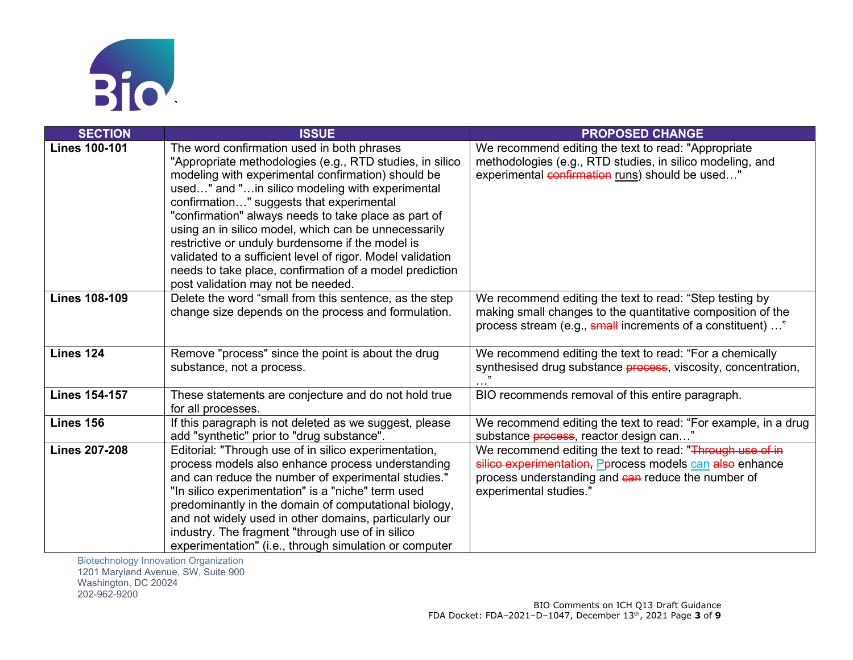

| <b>SECTION</b>       | <b>ISSUE</b>                                               | <b>PROPOSED CHANGE</b>                                                |
|----------------------|------------------------------------------------------------|-----------------------------------------------------------------------|
| <b>Lines 100-101</b> | The word confirmation used in both phrases                 | We recommend editing the text to read: "Appropriate                   |
|                      | "Appropriate methodologies (e.g., RTD studies, in silico   | methodologies (e.g., RTD studies, in silico modeling, and             |
|                      | modeling with experimental confirmation) should be         | experimental confirmation runs) should be used"                       |
|                      | used" and "in silico modeling with experimental            |                                                                       |
|                      | confirmation" suggests that experimental                   |                                                                       |
|                      | "confirmation" always needs to take place as part of       |                                                                       |
|                      | using an in silico model, which can be unnecessarily       |                                                                       |
|                      | restrictive or unduly burdensome if the model is           |                                                                       |
|                      | validated to a sufficient level of rigor. Model validation |                                                                       |
|                      | needs to take place, confirmation of a model prediction    |                                                                       |
|                      | post validation may not be needed.                         |                                                                       |
| <b>Lines 108-109</b> | Delete the word "small from this sentence, as the step     | We recommend editing the text to read: "Step testing by               |
|                      | change size depends on the process and formulation.        | making small changes to the quantitative composition of the           |
|                      |                                                            | process stream (e.g., small increments of a constituent) "            |
| Lines 124            | Remove "process" since the point is about the drug         | We recommend editing the text to read: "For a chemically              |
|                      | substance, not a process.                                  | synthesised drug substance <b>process</b> , viscosity, concentration, |
|                      |                                                            |                                                                       |
| <b>Lines 154-157</b> | These statements are conjecture and do not hold true       | BIO recommends removal of this entire paragraph.                      |
|                      | for all processes.                                         |                                                                       |
| Lines 156            | If this paragraph is not deleted as we suggest, please     | We recommend editing the text to read: "For example, in a drug        |
|                      | add "synthetic" prior to "drug substance".                 | substance <i>process</i> , reactor design can"                        |
| <b>Lines 207-208</b> | Editorial: "Through use of in silico experimentation,      | We recommend editing the text to read: "Through use of in             |
|                      | process models also enhance process understanding          | silico experimentation, Pprocess models can also enhance              |
|                      | and can reduce the number of experimental studies."        | process understanding and can reduce the number of                    |
|                      | "In silico experimentation" is a "niche" term used         | experimental studies."                                                |
|                      | predominantly in the domain of computational biology,      |                                                                       |
|                      | and not widely used in other domains, particularly our     |                                                                       |
|                      | industry. The fragment "through use of in silico           |                                                                       |
|                      | experimentation" (i.e., through simulation or computer     |                                                                       |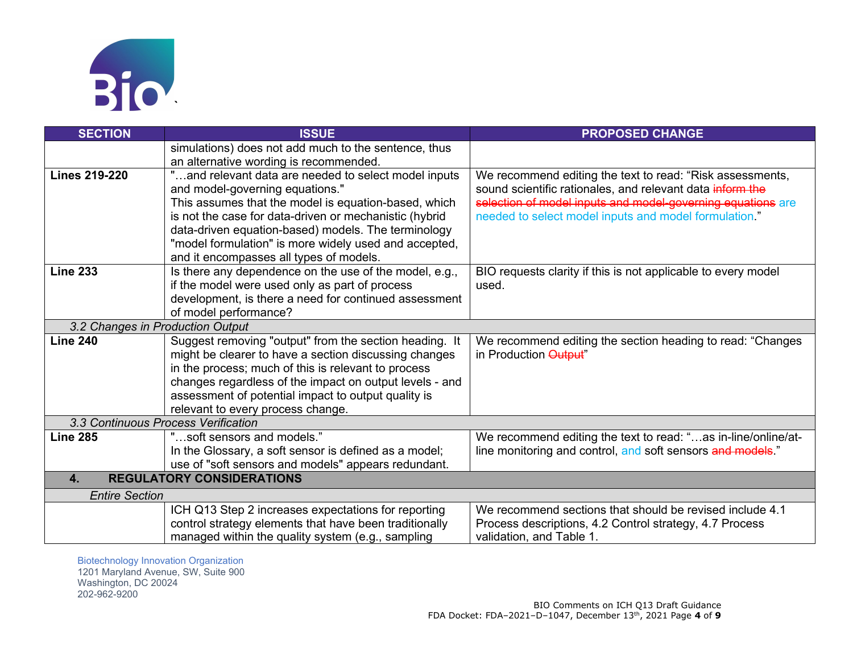

| <b>SECTION</b>                                   | <b>ISSUE</b>                                            | <b>PROPOSED CHANGE</b>                                        |
|--------------------------------------------------|---------------------------------------------------------|---------------------------------------------------------------|
|                                                  | simulations) does not add much to the sentence, thus    |                                                               |
|                                                  | an alternative wording is recommended.                  |                                                               |
| <b>Lines 219-220</b>                             | "and relevant data are needed to select model inputs    | We recommend editing the text to read: "Risk assessments,     |
|                                                  | and model-governing equations."                         | sound scientific rationales, and relevant data inform the     |
|                                                  | This assumes that the model is equation-based, which    | selection of model inputs and model-governing equations are   |
|                                                  | is not the case for data-driven or mechanistic (hybrid  | needed to select model inputs and model formulation."         |
|                                                  | data-driven equation-based) models. The terminology     |                                                               |
|                                                  | "model formulation" is more widely used and accepted,   |                                                               |
|                                                  | and it encompasses all types of models.                 |                                                               |
| <b>Line 233</b>                                  | Is there any dependence on the use of the model, e.g.,  | BIO requests clarity if this is not applicable to every model |
|                                                  | if the model were used only as part of process          | used.                                                         |
|                                                  | development, is there a need for continued assessment   |                                                               |
|                                                  | of model performance?                                   |                                                               |
| 3.2 Changes in Production Output                 |                                                         |                                                               |
| <b>Line 240</b>                                  | Suggest removing "output" from the section heading. It  | We recommend editing the section heading to read: "Changes    |
|                                                  | might be clearer to have a section discussing changes   | in Production Output"                                         |
|                                                  | in the process; much of this is relevant to process     |                                                               |
|                                                  | changes regardless of the impact on output levels - and |                                                               |
|                                                  | assessment of potential impact to output quality is     |                                                               |
|                                                  | relevant to every process change.                       |                                                               |
| 3.3 Continuous Process Verification              |                                                         |                                                               |
| <b>Line 285</b>                                  | "soft sensors and models."                              | We recommend editing the text to read: "as in-line/online/at- |
|                                                  | In the Glossary, a soft sensor is defined as a model;   | line monitoring and control, and soft sensors and models."    |
|                                                  | use of "soft sensors and models" appears redundant.     |                                                               |
| <b>REGULATORY CONSIDERATIONS</b><br>$\mathbf{4}$ |                                                         |                                                               |
| <b>Entire Section</b>                            |                                                         |                                                               |
|                                                  | ICH Q13 Step 2 increases expectations for reporting     | We recommend sections that should be revised include 4.1      |
|                                                  | control strategy elements that have been traditionally  | Process descriptions, 4.2 Control strategy, 4.7 Process       |
|                                                  | managed within the quality system (e.g., sampling       | validation, and Table 1.                                      |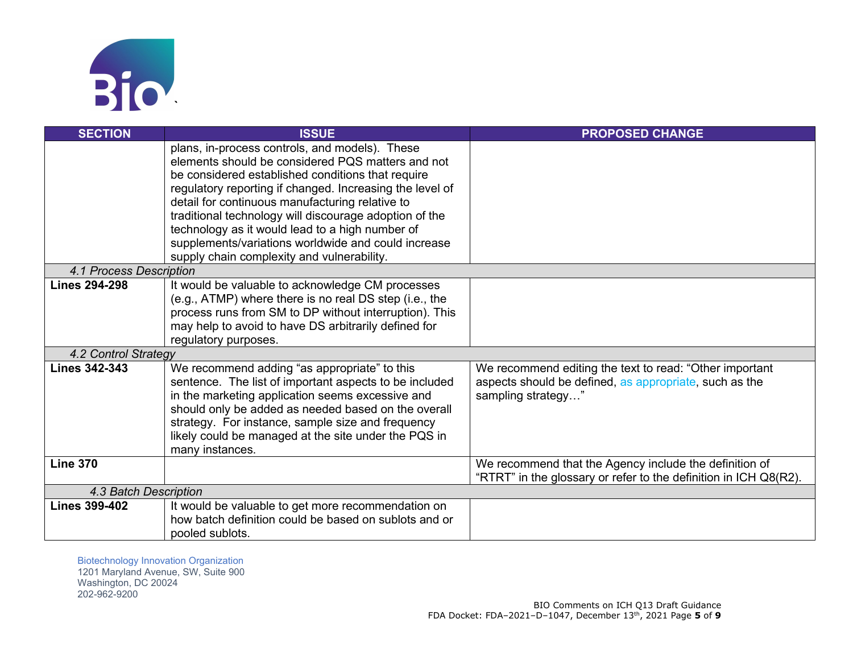

| <b>SECTION</b>          | <b>ISSUE</b>                                                                                            | <b>PROPOSED CHANGE</b>                                           |
|-------------------------|---------------------------------------------------------------------------------------------------------|------------------------------------------------------------------|
|                         | plans, in-process controls, and models). These                                                          |                                                                  |
|                         | elements should be considered PQS matters and not                                                       |                                                                  |
|                         | be considered established conditions that require                                                       |                                                                  |
|                         | regulatory reporting if changed. Increasing the level of                                                |                                                                  |
|                         | detail for continuous manufacturing relative to                                                         |                                                                  |
|                         | traditional technology will discourage adoption of the                                                  |                                                                  |
|                         | technology as it would lead to a high number of                                                         |                                                                  |
|                         | supplements/variations worldwide and could increase                                                     |                                                                  |
|                         | supply chain complexity and vulnerability.                                                              |                                                                  |
| 4.1 Process Description |                                                                                                         |                                                                  |
| <b>Lines 294-298</b>    | It would be valuable to acknowledge CM processes                                                        |                                                                  |
|                         | (e.g., ATMP) where there is no real DS step (i.e., the                                                  |                                                                  |
|                         | process runs from SM to DP without interruption). This                                                  |                                                                  |
|                         | may help to avoid to have DS arbitrarily defined for                                                    |                                                                  |
|                         | regulatory purposes.                                                                                    |                                                                  |
| 4.2 Control Strategy    |                                                                                                         |                                                                  |
| <b>Lines 342-343</b>    | We recommend adding "as appropriate" to this                                                            | We recommend editing the text to read: "Other important          |
|                         | sentence. The list of important aspects to be included                                                  | aspects should be defined, as appropriate, such as the           |
|                         | in the marketing application seems excessive and<br>should only be added as needed based on the overall | sampling strategy"                                               |
|                         | strategy. For instance, sample size and frequency                                                       |                                                                  |
|                         | likely could be managed at the site under the PQS in                                                    |                                                                  |
|                         | many instances.                                                                                         |                                                                  |
| <b>Line 370</b>         |                                                                                                         | We recommend that the Agency include the definition of           |
|                         |                                                                                                         | "RTRT" in the glossary or refer to the definition in ICH Q8(R2). |
| 4.3 Batch Description   |                                                                                                         |                                                                  |
| <b>Lines 399-402</b>    | It would be valuable to get more recommendation on                                                      |                                                                  |
|                         | how batch definition could be based on sublots and or                                                   |                                                                  |
|                         | pooled sublots.                                                                                         |                                                                  |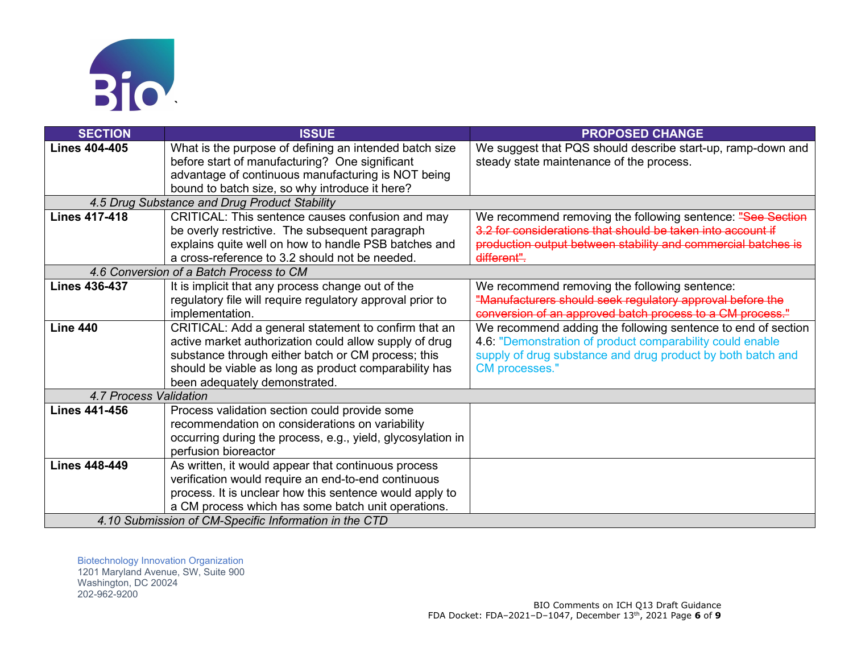

| <b>SECTION</b>         | <b>ISSUE</b>                                                | <b>PROPOSED CHANGE</b>                                        |
|------------------------|-------------------------------------------------------------|---------------------------------------------------------------|
| <b>Lines 404-405</b>   | What is the purpose of defining an intended batch size      | We suggest that PQS should describe start-up, ramp-down and   |
|                        | before start of manufacturing? One significant              | steady state maintenance of the process.                      |
|                        | advantage of continuous manufacturing is NOT being          |                                                               |
|                        | bound to batch size, so why introduce it here?              |                                                               |
|                        | 4.5 Drug Substance and Drug Product Stability               |                                                               |
| <b>Lines 417-418</b>   | CRITICAL: This sentence causes confusion and may            | We recommend removing the following sentence: "See Section    |
|                        | be overly restrictive. The subsequent paragraph             | 3.2 for considerations that should be taken into account if   |
|                        | explains quite well on how to handle PSB batches and        | production output between stability and commercial batches is |
|                        | a cross-reference to 3.2 should not be needed.              | different".                                                   |
|                        | 4.6 Conversion of a Batch Process to CM                     |                                                               |
| <b>Lines 436-437</b>   | It is implicit that any process change out of the           | We recommend removing the following sentence:                 |
|                        | regulatory file will require regulatory approval prior to   | "Manufacturers should seek regulatory approval before the     |
|                        | implementation.                                             | conversion of an approved batch process to a CM process."     |
| <b>Line 440</b>        | CRITICAL: Add a general statement to confirm that an        | We recommend adding the following sentence to end of section  |
|                        | active market authorization could allow supply of drug      | 4.6: "Demonstration of product comparability could enable     |
|                        | substance through either batch or CM process; this          | supply of drug substance and drug product by both batch and   |
|                        | should be viable as long as product comparability has       | CM processes."                                                |
|                        | been adequately demonstrated.                               |                                                               |
| 4.7 Process Validation |                                                             |                                                               |
| <b>Lines 441-456</b>   | Process validation section could provide some               |                                                               |
|                        | recommendation on considerations on variability             |                                                               |
|                        | occurring during the process, e.g., yield, glycosylation in |                                                               |
|                        | perfusion bioreactor                                        |                                                               |
| <b>Lines 448-449</b>   | As written, it would appear that continuous process         |                                                               |
|                        | verification would require an end-to-end continuous         |                                                               |
|                        | process. It is unclear how this sentence would apply to     |                                                               |
|                        | a CM process which has some batch unit operations.          |                                                               |
|                        | 4.10 Submission of CM-Specific Information in the CTD       |                                                               |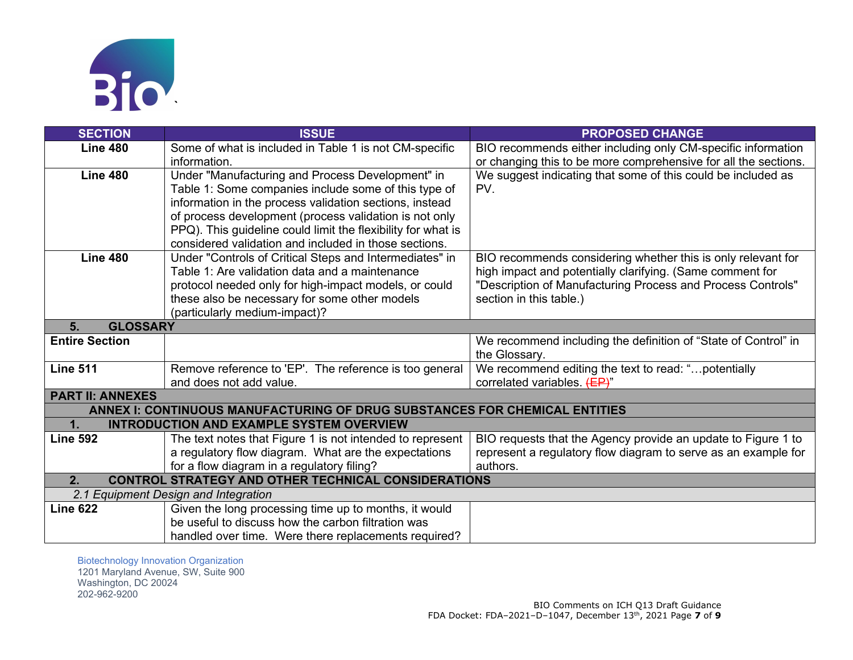

| <b>SECTION</b>          | <b>ISSUE</b>                                                               | <b>PROPOSED CHANGE</b>                                          |
|-------------------------|----------------------------------------------------------------------------|-----------------------------------------------------------------|
| <b>Line 480</b>         | Some of what is included in Table 1 is not CM-specific                     | BIO recommends either including only CM-specific information    |
|                         | information.                                                               | or changing this to be more comprehensive for all the sections. |
| <b>Line 480</b>         | Under "Manufacturing and Process Development" in                           | We suggest indicating that some of this could be included as    |
|                         | Table 1: Some companies include some of this type of                       | PV.                                                             |
|                         | information in the process validation sections, instead                    |                                                                 |
|                         | of process development (process validation is not only                     |                                                                 |
|                         | PPQ). This guideline could limit the flexibility for what is               |                                                                 |
|                         | considered validation and included in those sections.                      |                                                                 |
| <b>Line 480</b>         | Under "Controls of Critical Steps and Intermediates" in                    | BIO recommends considering whether this is only relevant for    |
|                         | Table 1: Are validation data and a maintenance                             | high impact and potentially clarifying. (Same comment for       |
|                         | protocol needed only for high-impact models, or could                      | "Description of Manufacturing Process and Process Controls"     |
|                         | these also be necessary for some other models                              | section in this table.)                                         |
|                         | (particularly medium-impact)?                                              |                                                                 |
| <b>GLOSSARY</b><br>5.   |                                                                            |                                                                 |
| <b>Entire Section</b>   |                                                                            | We recommend including the definition of "State of Control" in  |
|                         |                                                                            | the Glossary.                                                   |
| <b>Line 511</b>         | Remove reference to 'EP'. The reference is too general                     | We recommend editing the text to read: "potentially             |
|                         | and does not add value.                                                    | correlated variables. (EP)"                                     |
| <b>PART II: ANNEXES</b> |                                                                            |                                                                 |
|                         | ANNEX I: CONTINUOUS MANUFACTURING OF DRUG SUBSTANCES FOR CHEMICAL ENTITIES |                                                                 |
| 1.                      | <b>INTRODUCTION AND EXAMPLE SYSTEM OVERVIEW</b>                            |                                                                 |
| <b>Line 592</b>         | The text notes that Figure 1 is not intended to represent                  | BIO requests that the Agency provide an update to Figure 1 to   |
|                         | a regulatory flow diagram. What are the expectations                       | represent a regulatory flow diagram to serve as an example for  |
|                         | for a flow diagram in a regulatory filing?                                 | authors.                                                        |
| 2.                      | <b>CONTROL STRATEGY AND OTHER TECHNICAL CONSIDERATIONS</b>                 |                                                                 |
|                         | 2.1 Equipment Design and Integration                                       |                                                                 |
| <b>Line 622</b>         | Given the long processing time up to months, it would                      |                                                                 |
|                         | be useful to discuss how the carbon filtration was                         |                                                                 |
|                         | handled over time. Were there replacements required?                       |                                                                 |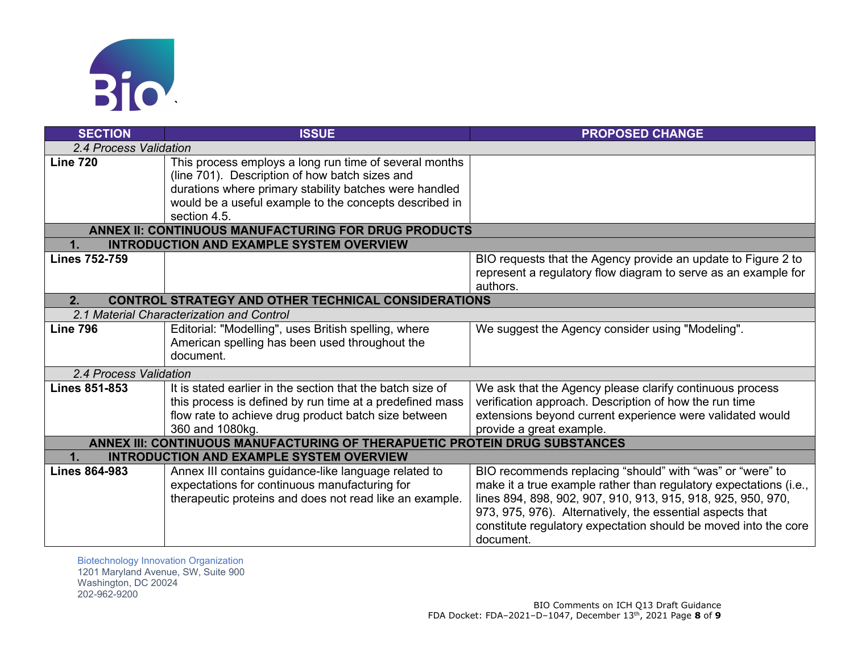

| <b>SECTION</b>                                                   | <b>ISSUE</b>                                                                                                                                                                                                                                 | <b>PROPOSED CHANGE</b>                                                                                                                                                                                                                                                                                                                      |  |
|------------------------------------------------------------------|----------------------------------------------------------------------------------------------------------------------------------------------------------------------------------------------------------------------------------------------|---------------------------------------------------------------------------------------------------------------------------------------------------------------------------------------------------------------------------------------------------------------------------------------------------------------------------------------------|--|
| 2.4 Process Validation                                           |                                                                                                                                                                                                                                              |                                                                                                                                                                                                                                                                                                                                             |  |
| <b>Line 720</b>                                                  | This process employs a long run time of several months<br>(line 701). Description of how batch sizes and<br>durations where primary stability batches were handled<br>would be a useful example to the concepts described in<br>section 4.5. |                                                                                                                                                                                                                                                                                                                                             |  |
|                                                                  | ANNEX II: CONTINUOUS MANUFACTURING FOR DRUG PRODUCTS                                                                                                                                                                                         |                                                                                                                                                                                                                                                                                                                                             |  |
| $\mathbf 1$ .                                                    | <b>INTRODUCTION AND EXAMPLE SYSTEM OVERVIEW</b>                                                                                                                                                                                              |                                                                                                                                                                                                                                                                                                                                             |  |
| <b>Lines 752-759</b>                                             |                                                                                                                                                                                                                                              | BIO requests that the Agency provide an update to Figure 2 to<br>represent a regulatory flow diagram to serve as an example for<br>authors.                                                                                                                                                                                                 |  |
| 2.<br><b>CONTROL STRATEGY AND OTHER TECHNICAL CONSIDERATIONS</b> |                                                                                                                                                                                                                                              |                                                                                                                                                                                                                                                                                                                                             |  |
|                                                                  | 2.1 Material Characterization and Control                                                                                                                                                                                                    |                                                                                                                                                                                                                                                                                                                                             |  |
| <b>Line 796</b>                                                  | Editorial: "Modelling", uses British spelling, where<br>American spelling has been used throughout the<br>document.                                                                                                                          | We suggest the Agency consider using "Modeling".                                                                                                                                                                                                                                                                                            |  |
| 2.4 Process Validation                                           |                                                                                                                                                                                                                                              |                                                                                                                                                                                                                                                                                                                                             |  |
| <b>Lines 851-853</b>                                             | It is stated earlier in the section that the batch size of<br>this process is defined by run time at a predefined mass<br>flow rate to achieve drug product batch size between<br>360 and 1080kg.                                            | We ask that the Agency please clarify continuous process<br>verification approach. Description of how the run time<br>extensions beyond current experience were validated would<br>provide a great example.                                                                                                                                 |  |
|                                                                  | ANNEX III: CONTINUOUS MANUFACTURING OF THERAPUETIC PROTEIN DRUG SUBSTANCES                                                                                                                                                                   |                                                                                                                                                                                                                                                                                                                                             |  |
| 1.                                                               | <b>INTRODUCTION AND EXAMPLE SYSTEM OVERVIEW</b>                                                                                                                                                                                              |                                                                                                                                                                                                                                                                                                                                             |  |
| <b>Lines 864-983</b>                                             | Annex III contains guidance-like language related to<br>expectations for continuous manufacturing for<br>therapeutic proteins and does not read like an example.                                                                             | BIO recommends replacing "should" with "was" or "were" to<br>make it a true example rather than regulatory expectations (i.e.,<br>lines 894, 898, 902, 907, 910, 913, 915, 918, 925, 950, 970,<br>973, 975, 976). Alternatively, the essential aspects that<br>constitute regulatory expectation should be moved into the core<br>document. |  |